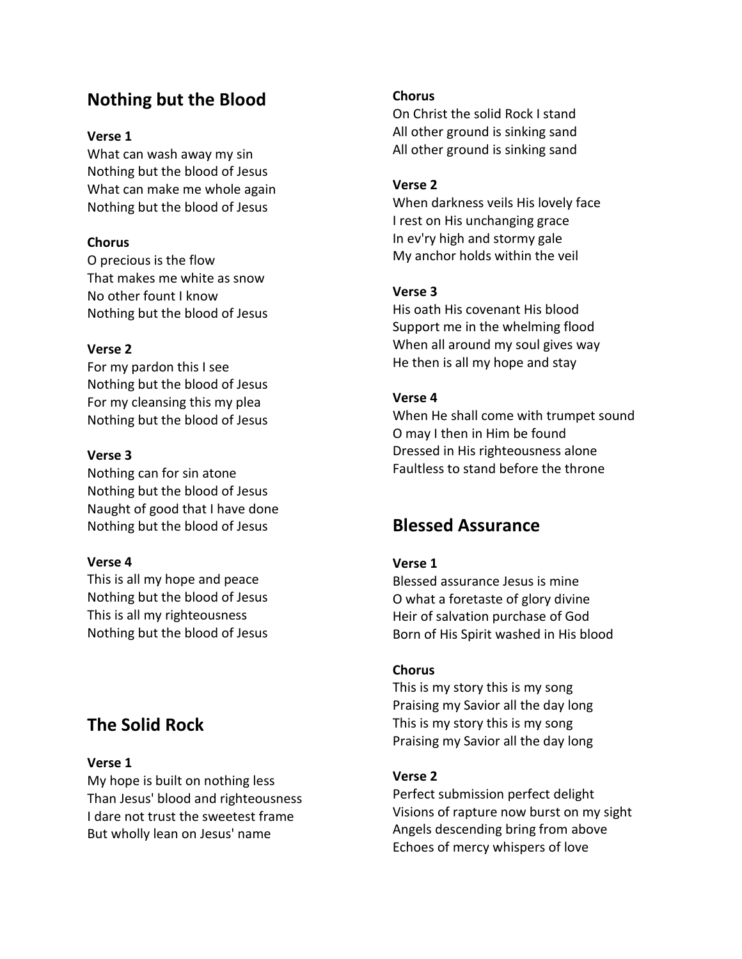# **Nothing but the Blood**

#### **Verse 1**

What can wash away my sin Nothing but the blood of Jesus What can make me whole again Nothing but the blood of Jesus

## **Chorus**

O precious is the flow That makes me white as snow No other fount I know Nothing but the blood of Jesus

## **Verse 2**

For my pardon this I see Nothing but the blood of Jesus For my cleansing this my plea Nothing but the blood of Jesus

## **Verse 3**

Nothing can for sin atone Nothing but the blood of Jesus Naught of good that I have done Nothing but the blood of Jesus

#### **Verse 4**

This is all my hope and peace Nothing but the blood of Jesus This is all my righteousness Nothing but the blood of Jesus

# **The Solid Rock**

# **Verse 1**

My hope is built on nothing less Than Jesus' blood and righteousness I dare not trust the sweetest frame But wholly lean on Jesus' name

#### **Chorus**

On Christ the solid Rock I stand All other ground is sinking sand All other ground is sinking sand

#### **Verse 2**

When darkness veils His lovely face I rest on His unchanging grace In ev'ry high and stormy gale My anchor holds within the veil

## **Verse 3**

His oath His covenant His blood Support me in the whelming flood When all around my soul gives way He then is all my hope and stay

## **Verse 4**

When He shall come with trumpet sound O may I then in Him be found Dressed in His righteousness alone Faultless to stand before the throne

# **Blessed Assurance**

# **Verse 1**

Blessed assurance Jesus is mine O what a foretaste of glory divine Heir of salvation purchase of God Born of His Spirit washed in His blood

#### **Chorus**

This is my story this is my song Praising my Savior all the day long This is my story this is my song Praising my Savior all the day long

#### **Verse 2**

Perfect submission perfect delight Visions of rapture now burst on my sight Angels descending bring from above Echoes of mercy whispers of love